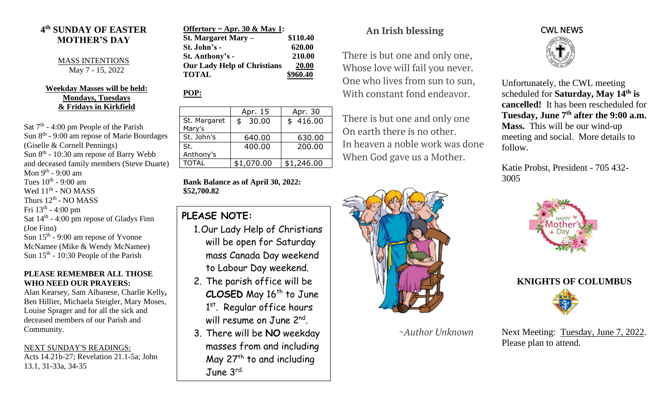### **4 th SUNDAY OF EASTER MOTHER'S DAY**

MASS INTENTIONS May 7 - 15, 2022

#### **Weekday Masses will be held: Mondays, Tuesdays & Fridays in Kirkfield**

Sat  $7<sup>th</sup>$  - 4:00 pm People of the Parish Sun 8<sup>th</sup> - 9:00 am repose of Marie Bourdages (Giselle & Cornell Pennings) Sun 8<sup>th</sup> - 10:30 am repose of Barry Webb and deceased family members (Steve Duarte) Mon 9<sup>th</sup> - 9:00 am Tues  $10^{\text{th}}$  - 9:00 am Wed  $11<sup>th</sup>$  - NO MASS Thurs  $12^{\text{th}}$  - NO MASS Fri 13<sup>th</sup> - 4:00 pm Sat  $14<sup>th</sup>$  - 4:00 pm repose of Gladys Finn (Joe Finn) Sun 15<sup>th</sup> - 9:00 am repose of Yvonne McNamee (Mike & Wendy McNamee) Sun  $15<sup>th</sup>$  - 10:30 People of the Parish

#### **PLEASE REMEMBER ALL THOSE WHO NEED OUR PRAYERS:**

Alan Kearsey, Sam Albanese, Charlie Kelly**,**  Ben Hillier, Michaela Steigler, Mary Moses, Louise Sprager and for all the sick and deceased members of our Parish and Community.

NEXT SUNDAY'S READINGS: Acts 14.21b-27; Revelation 21.1-5a; John 13.1, 31-33a, 34-35

| Offertory ~ Apr. 30 & May 1: |
|------------------------------|
| \$110.40                     |
| 620.00                       |
| 210.00                       |
| 20.00                        |
| \$960.40                     |
|                              |

### **POP:**

|                        | Apr. 15     | Apr. 30    |
|------------------------|-------------|------------|
| St. Margaret<br>Mary's | 30.00<br>\$ | \$416.00   |
| St. John's             | 640.00      | 630.00     |
| St.<br>Anthony's       | 400.00      | 200.00     |
| <b>TOTAL</b>           | \$1,070.00  | \$1,246.00 |

**Bank Balance as of April 30, 2022: \$52,700.82**

## **PLEASE NOTE:**

- 1.Our Lady Help of Christians will be open for Saturday mass Canada Day weekend to Labour Day weekend.
- 2. The parish office will be **CLOSED** May 16<sup>th</sup> to June 1<sup>st</sup>. Regular office hours will resume on June 2<sup>nd</sup>.
- 3. There will be **NO** weekday masses from and including May  $27<sup>th</sup>$  to and including June 3rd.

# **An Irish blessing**

There is but one and only one, Whose love will fail you never. One who lives from sun to sun, With constant fond endeavor.

There is but one and only one On earth there is no other. In heaven a noble work was done When God gave us a Mother.



 *~Author Unknown*



Unfortunately, the CWL meeting scheduled for **Saturday, May 14th is cancelled!** It has been rescheduled for **Tuesday, June 7th after the 9:00 a.m. Mass.** This will be our wind-up meeting and social. More details to follow.

Katie Probst, President - 705 432- 3005





Next Meeting: Tuesday, June 7, 2022. Please plan to attend.